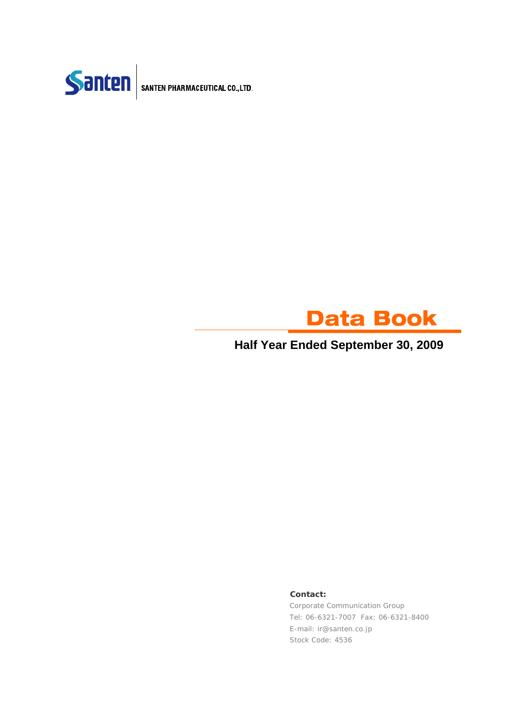



### **Half Year Ended September 30, 2009**

#### **Contact:**

Corporate Communication Group Tel: 06-6321-7007 Fax: 06-6321-8400 E-mail: ir@santen.co.jp Stock Code: 4536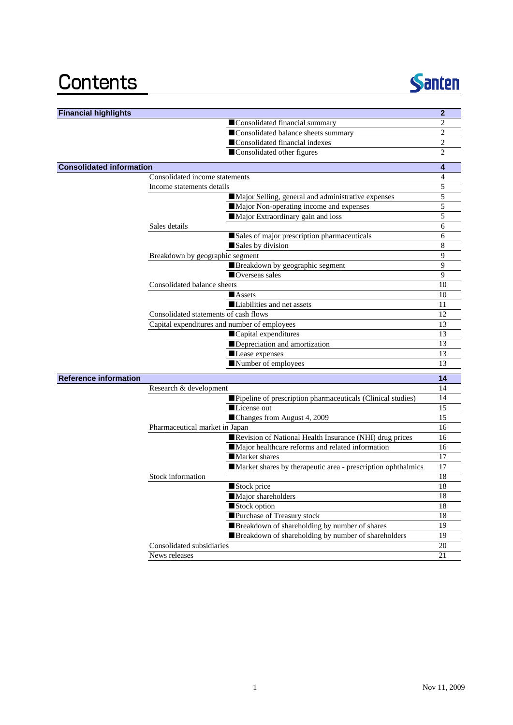## Contents



| <b>Financial highlights</b>     |                                              |                                                              | $\overline{2}$ |
|---------------------------------|----------------------------------------------|--------------------------------------------------------------|----------------|
|                                 |                                              | Consolidated financial summary                               | 2              |
|                                 |                                              | Consolidated balance sheets summary                          | $\overline{c}$ |
|                                 |                                              | Consolidated financial indexes                               | 2              |
|                                 |                                              | Consolidated other figures                                   | 2              |
| <b>Consolidated information</b> |                                              |                                                              | 4              |
|                                 | Consolidated income statements               |                                                              | $\overline{4}$ |
|                                 | Income statements details                    |                                                              | 5              |
|                                 |                                              | Major Selling, general and administrative expenses           | 5              |
|                                 |                                              | Major Non-operating income and expenses                      | 5              |
|                                 |                                              | Major Extraordinary gain and loss                            | 5              |
|                                 | Sales details                                |                                                              | 6              |
|                                 |                                              | Sales of major prescription pharmaceuticals                  | 6              |
|                                 | Sales by division                            |                                                              | 8              |
|                                 | Breakdown by geographic segment              |                                                              | 9              |
|                                 |                                              | Breakdown by geographic segment                              | 9              |
|                                 | Overseas sales                               |                                                              | 9              |
|                                 | Consolidated balance sheets                  |                                                              | 10             |
|                                 | <b>Assets</b>                                |                                                              | 10             |
|                                 |                                              | Liabilities and net assets                                   | 11             |
|                                 | Consolidated statements of cash flows        |                                                              | 12             |
|                                 | Capital expenditures and number of employees |                                                              | 13             |
|                                 | Capital expenditures                         |                                                              | 13             |
|                                 |                                              | Depreciation and amortization                                | 13             |
|                                 | Lease expenses                               |                                                              | 13             |
|                                 | Number of employees                          |                                                              | 13             |
| <b>Reference information</b>    |                                              |                                                              | 14             |
|                                 | Research & development                       |                                                              | 14             |
|                                 |                                              | Pipeline of prescription pharmaceuticals (Clinical studies)  | 14             |
|                                 | License out                                  |                                                              | 15             |
|                                 |                                              | Changes from August 4, 2009                                  | 15             |
|                                 | Pharmaceutical market in Japan               |                                                              | 16             |
|                                 |                                              | Revision of National Health Insurance (NHI) drug prices      | 16             |
|                                 |                                              | Major healthcare reforms and related information             | 16             |
|                                 | Market shares                                |                                                              | 17             |
|                                 |                                              | Market shares by therapeutic area - prescription ophthalmics | 17             |
|                                 | Stock information                            |                                                              | 18             |
|                                 | Stock price                                  |                                                              | 18             |
|                                 | Major shareholders                           |                                                              | 18             |
|                                 | Stock option                                 |                                                              | 18             |
|                                 |                                              | Purchase of Treasury stock                                   | 18             |
|                                 |                                              | Breakdown of shareholding by number of shares                | 19             |
|                                 |                                              | Breakdown of shareholding by number of shareholders          | 19             |
|                                 | Consolidated subsidiaries                    |                                                              | 20             |
|                                 | News releases                                |                                                              | 21             |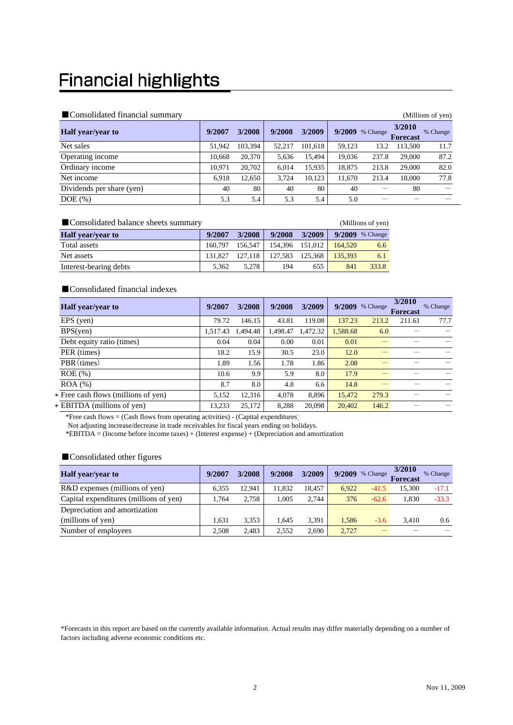## **Financial highlights**

#### ■Consolidated financial summary (Millions of yen)

| $\blacksquare$ Consondated Thiancial Summary<br>(MIIIIONS OL VEN <i>)</i> |        |         |        |         |        |          |                           |          |
|---------------------------------------------------------------------------|--------|---------|--------|---------|--------|----------|---------------------------|----------|
| <b>Half</b> year/year to                                                  | 9/2007 | 3/2008  | 9/2008 | 3/2009  | 9/2009 | % Change | 3/2010<br><b>Forecast</b> | % Change |
| Net sales                                                                 | 51,942 | 103.394 | 52,217 | 101,618 | 59,123 | 13.2     | 113,500                   | 11.7     |
| Operating income                                                          | 10.668 | 20,370  | 5.636  | 15.494  | 19,036 | 237.8    | 29,000                    | 87.2     |
| Ordinary income                                                           | 10.971 | 20,702  | 6.014  | 15,935  | 18.875 | 213.8    | 29,000                    | 82.0     |
| Net income                                                                | 6.918  | 12,650  | 3.724  | 10,123  | 11,670 | 213.4    | 18,000                    | 77.8     |
| Dividends per share (yen)                                                 | 40     | 80      | 40     | 80      | 40     |          | 80                        |          |
| $DOE(\% )$                                                                | 5.3    | 5.4     | 5.3    | 5.4     | 5.0    |          |                           |          |

| ■ Consolidated balance sheets summary | (Millions of yen) |         |         |                 |         |                   |
|---------------------------------------|-------------------|---------|---------|-----------------|---------|-------------------|
| <b>Half</b> year/year to              | 9/2007            | 3/2008  | 9/2008  | 3/2009          |         | $9/2009$ % Change |
| Total assets                          | 160.797           | 156.547 |         | 154.396 151.012 | 164.520 | 6.6               |
| Net assets                            | 131.827           | 127.118 | 127.583 | 125.368         | 135,393 | 6.1               |
| Interest-bearing debts                | 5.362             | 5.278   | 194     | 655             | 841     | 333.8             |

### ■ Consolidated financial indexes

| <b>Half</b> year/year to            | 9/2007   | 3/2008  | 9/2008   | 3/2009   | 9/2009   | % Change | 3/2010<br><b>Forecast</b> | % Change |
|-------------------------------------|----------|---------|----------|----------|----------|----------|---------------------------|----------|
| $EPS$ (yen)                         | 79.72    | 146.15  | 43.81    | 119.08   | 137.23   | 213.2    | 211.61                    | 77.7     |
| BPS(yen)                            | 1,517.43 | .494.48 | 1,498.47 | 1,472.32 | 1,588.68 | 6.0      |                           |          |
| Debt equity ratio (times)           | 0.04     | 0.04    | 0.00     | 0.01     | 0.01     |          |                           |          |
| PER (times)                         | 18.2     | 15.9    | 30.5     | 23.0     | 12.0     |          |                           |          |
| PBR (times)                         | 1.89     | 1.56    | 1.78     | 1.86     | 2.08     |          |                           |          |
| $ROE$ $(\%)$                        | 10.6     | 9.9     | 5.9      | 8.0      | 17.9     |          |                           |          |
| $ROA$ $%$                           | 8.7      | 8.0     | 4.8      | 6.6      | 14.8     |          |                           |          |
| * Free cash flows (millions of yen) | 5,152    | 12,316  | 4,078    | 8,896    | 15,472   | 279.3    |                           |          |
| * EBITDA (millions of yen)          | 13,233   | 25,172  | 8,288    | 20,098   | 20,402   | 146.2    |                           |          |

\*Free cash flows = (Cash flows from operating activities) - (Capital expenditures)

Not adjusting increase/decrease in trade receivables for fiscal years ending on holidays.

\*EBITDA = (Income before income taxes) + (Interest expense) + (Depreciation and amortization

#### ■ Consolidated other figures

| <b>Half</b> year/year to               | 9/2007 | 3/2008 | 9/2008 | 3/2009 | 9/2009 | % Change | 3/2010<br><b>Forecast</b> | % Change |
|----------------------------------------|--------|--------|--------|--------|--------|----------|---------------------------|----------|
| R&D expenses (millions of yen)         | 6.355  | 12.941 | 11.832 | 18.457 | 6.922  | $-41.5$  | 15,300                    | $-17.1$  |
| Capital expenditures (millions of yen) | 1.764  | 2.758  | 1.005  | 2.744  | 376    | $-62.6$  | 1.830                     | $-33.3$  |
| Depreciation and amortization          |        |        |        |        |        |          |                           |          |
| (millions of yen)                      | 1.631  | 3,353  | 1.645  | 3.391  | 1.586  | $-3.6$   | 3.410                     | 0.6      |
| Number of employees                    | 2.508  | 2.483  | 2.552  | 2.690  | 2.727  |          |                           |          |

\*Forecasts in this report are based on the currently available information. Actual results may differ materially depending on a number of factors including adverse economic conditions etc.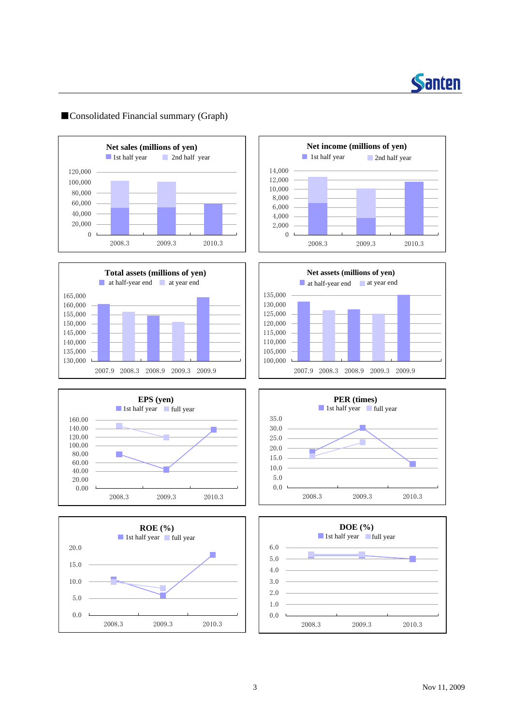

### ■Consolidated Financial summary (Graph)















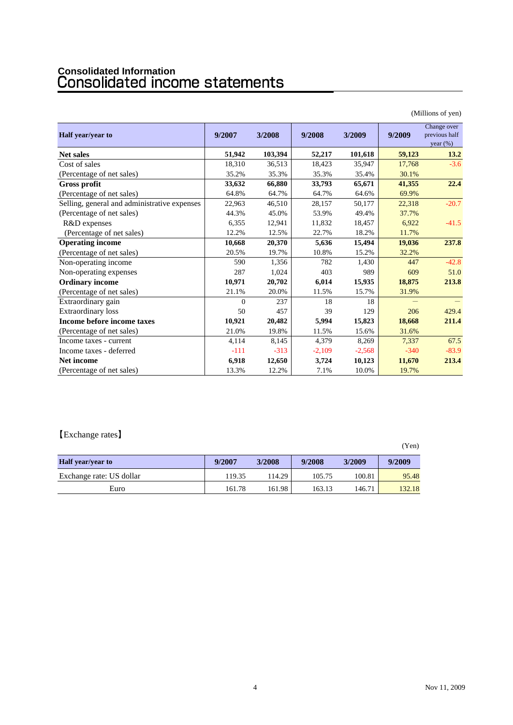# **Consolidated Information**

|                                              |          |         |          |          |        | (Millions of yen)                           |
|----------------------------------------------|----------|---------|----------|----------|--------|---------------------------------------------|
| Half year/year to                            | 9/2007   | 3/2008  | 9/2008   | 3/2009   | 9/2009 | Change over<br>previous half<br>year $(\%)$ |
| <b>Net sales</b>                             | 51,942   | 103,394 | 52,217   | 101,618  | 59,123 | 13.2                                        |
| Cost of sales                                | 18,310   | 36,513  | 18,423   | 35,947   | 17,768 | $-3.6$                                      |
| (Percentage of net sales)                    | 35.2%    | 35.3%   | 35.3%    | 35.4%    | 30.1%  |                                             |
| <b>Gross profit</b>                          | 33,632   | 66,880  | 33,793   | 65,671   | 41,355 | 22.4                                        |
| (Percentage of net sales)                    | 64.8%    | 64.7%   | 64.7%    | 64.6%    | 69.9%  |                                             |
| Selling, general and administrative expenses | 22,963   | 46,510  | 28,157   | 50,177   | 22,318 | $-20.7$                                     |
| (Percentage of net sales)                    | 44.3%    | 45.0%   | 53.9%    | 49.4%    | 37.7%  |                                             |
| R&D expenses                                 | 6,355    | 12,941  | 11,832   | 18,457   | 6,922  | $-41.5$                                     |
| (Percentage of net sales)                    | 12.2%    | 12.5%   | 22.7%    | 18.2%    | 11.7%  |                                             |
| <b>Operating income</b>                      | 10,668   | 20,370  | 5,636    | 15,494   | 19,036 | 237.8                                       |
| (Percentage of net sales)                    | 20.5%    | 19.7%   | 10.8%    | 15.2%    | 32.2%  |                                             |
| Non-operating income                         | 590      | 1,356   | 782      | 1,430    | 447    | $-42.8$                                     |
| Non-operating expenses                       | 287      | 1,024   | 403      | 989      | 609    | 51.0                                        |
| <b>Ordinary income</b>                       | 10,971   | 20,702  | 6,014    | 15,935   | 18,875 | 213.8                                       |
| (Percentage of net sales)                    | 21.1%    | 20.0%   | 11.5%    | 15.7%    | 31.9%  |                                             |
| Extraordinary gain                           | $\Omega$ | 237     | 18       | 18       |        |                                             |
| Extraordinary loss                           | 50       | 457     | 39       | 129      | 206    | 429.4                                       |
| Income before income taxes                   | 10,921   | 20,482  | 5,994    | 15,823   | 18,668 | 211.4                                       |
| (Percentage of net sales)                    | 21.0%    | 19.8%   | 11.5%    | 15.6%    | 31.6%  |                                             |
| Income taxes - current                       | 4,114    | 8,145   | 4,379    | 8,269    | 7,337  | 67.5                                        |
| Income taxes - deferred                      | $-111$   | $-313$  | $-2,109$ | $-2,568$ | $-340$ | $-83.9$                                     |
| <b>Net income</b>                            | 6,918    | 12,650  | 3,724    | 10,123   | 11,670 | 213.4                                       |
| (Percentage of net sales)                    | 13.3%    | 12.2%   | 7.1%     | 10.0%    | 19.7%  |                                             |

【Exchange rates】

|                          |        |        |        |        | (Yen)  |
|--------------------------|--------|--------|--------|--------|--------|
| <b>Half</b> year/year to | 9/2007 | 3/2008 | 9/2008 | 3/2009 | 9/2009 |
| Exchange rate: US dollar | 119.35 | 114.29 | 105.75 | 100.81 | 95.48  |
| Euro                     | 161.78 | 161.98 | 163.13 | 146.71 | 132.18 |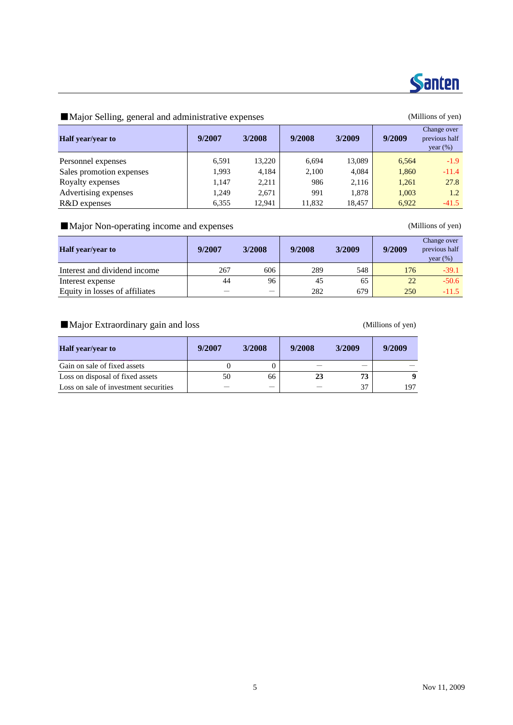

### ■Major Selling, general and administrative expenses (Millions of yen)

| <b>Half</b> year/year to | 9/2007 | 3/2008 | 9/2008 | 3/2009 | 9/2009 | Change over<br>previous half<br>year $(\%)$ |
|--------------------------|--------|--------|--------|--------|--------|---------------------------------------------|
| Personnel expenses       | 6,591  | 13.220 | 6,694  | 13.089 | 6.564  | $-1.9$                                      |
| Sales promotion expenses | 1.993  | 4.184  | 2,100  | 4,084  | 1,860  | $-11.4$                                     |
| Royalty expenses         | 1.147  | 2,211  | 986    | 2,116  | 1.261  | 27.8                                        |
| Advertising expenses     | 1.249  | 2.671  | 991    | 1.878  | 1,003  | 1.2                                         |
| R&D expenses             | 6,355  | 12.941 | 11,832 | 18,457 | 6,922  | $-41.5$                                     |

### ■Major Non-operating income and expenses (Millions of yen)

| <b>Half</b> year/year to       | 9/2007 | 3/2008 | 9/2008 | 3/2009 | 9/2009 | Change over<br>previous half<br>year(%) |
|--------------------------------|--------|--------|--------|--------|--------|-----------------------------------------|
| Interest and dividend income   | 267    | 606    | 289    | 548    | 176    | $-39.1$                                 |
| Interest expense               | 44     | 96     | 45     | 65     | 22     | $-50.6$                                 |
| Equity in losses of affiliates |        |        | 282    | 679    | 250    | $-11.5$                                 |

■Major Extraordinary gain and loss (Millions of yen)

| <b>Half</b> year/year to              | 9/2007 | 3/2008 | 9/2008 | 3/2009 | 9/2009 |
|---------------------------------------|--------|--------|--------|--------|--------|
| Gain on sale of fixed assets          |        |        |        |        |        |
| Loss on disposal of fixed assets      | 50     | 66     | 23     | 73     | -9     |
| Loss on sale of investment securities |        |        |        | 37     | 197    |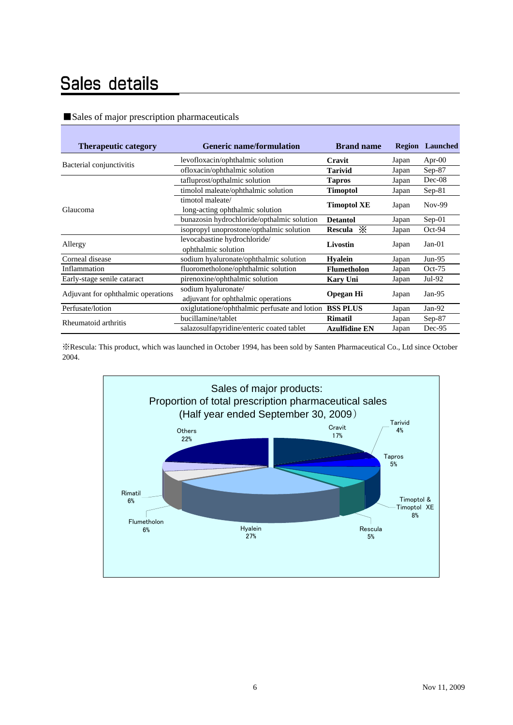### Sales details

### ■Sales of major prescription pharmaceuticals

| <b>Therapeutic category</b>        | <b>Generic name/formulation</b>                           | <b>Brand name</b>    | <b>Region</b> | Launched  |
|------------------------------------|-----------------------------------------------------------|----------------------|---------------|-----------|
| Bacterial conjunctivitis           | levofloxacin/ophthalmic solution                          | Cravit               | Japan         | Apr- $00$ |
|                                    | ofloxacin/ophthalmic solution                             | <b>Tarivid</b>       | Japan         | $Sep-87$  |
|                                    | tafluprost/opthalmic solution                             | <b>Tapros</b>        | Japan         | $Dec-08$  |
|                                    | timolol maleate/ophthalmic solution                       | <b>Timoptol</b>      | Japan         | $Sep-81$  |
| Glaucoma                           | timotol maleate/<br>long-acting ophthalmic solution       | <b>Timoptol XE</b>   | Japan         | Nov-99    |
|                                    | bunazosin hydrochloride/opthalmic solution                | <b>Detantol</b>      | Japan         | $Sep-01$  |
|                                    | isopropyl unoprostone/opthalmic solution                  | Rescula $\mathbb{X}$ | Japan         | $Oct-94$  |
| Allergy                            | levocabastine hydrochloride/<br>ophthalmic solution       | <b>Livostin</b>      | Japan         | $Jan-01$  |
| Corneal disease                    | sodium hyaluronate/ophthalmic solution                    | <b>Hyalein</b>       | Japan         | $Jun-95$  |
| Inflammation                       | fluorometholone/ophthalmic solution                       | <b>Flumetholon</b>   | Japan         | $Oct-75$  |
| Early-stage senile cataract        | pirenoxine/ophthalmic solution                            | <b>Kary Uni</b>      | Japan         | Jul-92    |
| Adjuvant for ophthalmic operations | sodium hyaluronate/<br>adjuvant for ophthalmic operations | <b>Opegan Hi</b>     | Japan         | Jan- $95$ |
| Perfusate/lotion                   | oxiglutatione/ophthalmic perfusate and lotion             | <b>BSS PLUS</b>      | Japan         | $Jan-92$  |
| Rheumatoid arthritis               | bucillamine/tablet                                        | <b>Rimatil</b>       | Japan         | $Sep-87$  |
|                                    | salazosulfapyridine/enteric coated tablet                 | <b>Azulfidine EN</b> | Japan         | Dec-95    |

※Rescula: This product, which was launched in October 1994, has been sold by Santen Pharmaceutical Co., Ltd since October 2004.

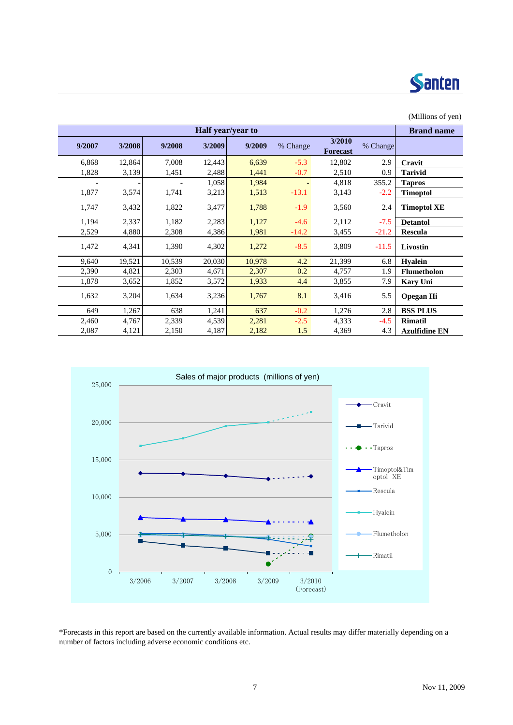

|        |                   |        |        |        |          |                           |          | (Millions of yen)    |
|--------|-------------------|--------|--------|--------|----------|---------------------------|----------|----------------------|
|        | <b>Brand name</b> |        |        |        |          |                           |          |                      |
| 9/2007 | 3/2008            | 9/2008 | 3/2009 | 9/2009 | % Change | 3/2010<br><b>Forecast</b> | % Change |                      |
| 6,868  | 12,864            | 7,008  | 12,443 | 6,639  | $-5.3$   | 12,802                    | 2.9      | Cravit               |
| 1,828  | 3,139             | 1,451  | 2,488  | 1,441  | $-0.7$   | 2,510                     | 0.9      | <b>Tarivid</b>       |
|        |                   |        | 1,058  | 1,984  |          | 4,818                     | 355.2    | <b>Tapros</b>        |
| 1,877  | 3,574             | 1,741  | 3,213  | 1,513  | $-13.1$  | 3,143                     | $-2.2$   | <b>Timoptol</b>      |
| 1,747  | 3,432             | 1,822  | 3,477  | 1,788  | $-1.9$   | 3,560                     | 2.4      | <b>Timoptol XE</b>   |
| 1,194  | 2,337             | 1,182  | 2,283  | 1,127  | $-4.6$   | 2,112                     | $-7.5$   | <b>Detantol</b>      |
| 2,529  | 4,880             | 2,308  | 4,386  | 1,981  | $-14.2$  | 3,455                     | $-21.2$  | <b>Rescula</b>       |
| 1,472  | 4,341             | 1,390  | 4,302  | 1,272  | $-8.5$   | 3,809                     | $-11.5$  | Livostin             |
| 9,640  | 19,521            | 10,539 | 20,030 | 10,978 | 4.2      | 21,399                    | 6.8      | <b>Hyalein</b>       |
| 2,390  | 4,821             | 2,303  | 4,671  | 2,307  | 0.2      | 4,757                     | 1.9      | Flumetholon          |
| 1,878  | 3,652             | 1,852  | 3,572  | 1,933  | 4.4      | 3,855                     | 7.9      | <b>Kary Uni</b>      |
| 1,632  | 3,204             | 1,634  | 3,236  | 1,767  | 8.1      | 3,416                     | 5.5      | <b>Opegan Hi</b>     |
| 649    | 1,267             | 638    | 1,241  | 637    | $-0.2$   | 1,276                     | 2.8      | <b>BSS PLUS</b>      |
| 2,460  | 4,767             | 2,339  | 4,539  | 2,281  | $-2.5$   | 4,333                     | $-4.5$   | <b>Rimatil</b>       |
| 2,087  | 4,121             | 2,150  | 4,187  | 2,182  | 1.5      | 4,369                     | 4.3      | <b>Azulfidine EN</b> |



\*Forecasts in this report are based on the currently available information. Actual results may differ materially depending on a number of factors including adverse economic conditions etc.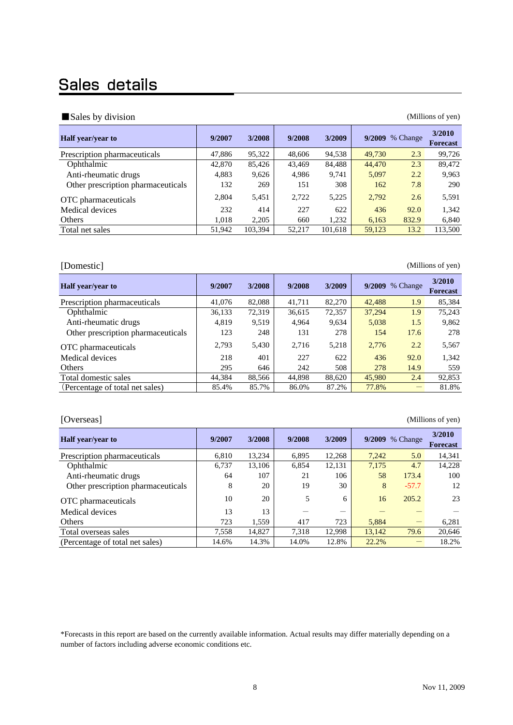### Sales details

### ■Sales by division (Millions of yen) and the sales by division (Millions of yen)

| 9/2007 | 3/2008  | 9/2008 | 3/2009  |        | % Change | 3/2010<br><b>Forecast</b> |
|--------|---------|--------|---------|--------|----------|---------------------------|
| 47,886 | 95,322  | 48,606 | 94,538  | 49,730 | 2.3      | 99,726                    |
| 42,870 | 85,426  | 43,469 | 84,488  | 44,470 | 2.3      | 89,472                    |
| 4,883  | 9,626   | 4,986  | 9,741   | 5,097  | 2.2      | 9,963                     |
| 132    | 269     | 151    | 308     | 162    | 7.8      | 290                       |
| 2,804  | 5,451   | 2,722  | 5,225   | 2,792  | 2.6      | 5,591                     |
| 232    | 414     | 227    | 622     | 436    | 92.0     | 1.342                     |
| 1,018  | 2.205   | 660    | 1,232   | 6,163  | 832.9    | 6,840                     |
| 51,942 | 103,394 | 52,217 | 101,618 | 59,123 | 13.2     | 113,500                   |
|        |         |        |         |        |          | 9/2009                    |

[Domestic] (Millions of yen)

| <b>Half</b> year/year to           | 9/2007 | 3/2008 | 9/2008 | 3/2009 |        | 9/2009 % Change | 3/2010<br><b>Forecast</b> |
|------------------------------------|--------|--------|--------|--------|--------|-----------------|---------------------------|
| Prescription pharmaceuticals       | 41,076 | 82,088 | 41,711 | 82,270 | 42,488 | 1.9             | 85,384                    |
| Ophthalmic                         | 36,133 | 72,319 | 36,615 | 72,357 | 37,294 | 1.9             | 75.243                    |
| Anti-rheumatic drugs               | 4,819  | 9,519  | 4.964  | 9,634  | 5,038  | 1.5             | 9,862                     |
| Other prescription pharmaceuticals | 123    | 248    | 131    | 278    | 154    | 17.6            | 278                       |
| OTC pharmaceuticals                | 2,793  | 5,430  | 2,716  | 5,218  | 2,776  | 2.2             | 5,567                     |
| Medical devices                    | 218    | 401    | 227    | 622    | 436    | 92.0            | 1,342                     |
| Others                             | 295    | 646    | 242    | 508    | 278    | 14.9            | 559                       |
| Total domestic sales               | 44,384 | 88,566 | 44,898 | 88,620 | 45,980 | 2.4             | 92,853                    |
| (Percentage of total net sales)    | 85.4%  | 85.7%  | 86.0%  | 87.2%  | 77.8%  |                 | 81.8%                     |

| [Overseas]<br>(Millions of yen)    |        |        |        |        |        |          |                           |  |  |  |
|------------------------------------|--------|--------|--------|--------|--------|----------|---------------------------|--|--|--|
| <b>Half</b> year/year to           | 9/2007 | 3/2008 | 9/2008 | 3/2009 | 9/2009 | % Change | 3/2010<br><b>Forecast</b> |  |  |  |
| Prescription pharmaceuticals       | 6.810  | 13.234 | 6.895  | 12.268 | 7.242  | 5.0      | 14.341                    |  |  |  |
| Ophthalmic                         | 6.737  | 13.106 | 6.854  | 12.131 | 7,175  | 4.7      | 14.228                    |  |  |  |
| Anti-rheumatic drugs               | 64     | 107    | 21     | 106    | 58     | 173.4    | 100                       |  |  |  |
| Other prescription pharmaceuticals | 8      | 20     | 19     | 30     | 8      | $-57.7$  | 12                        |  |  |  |
| OTC pharmaceuticals                | 10     | 20     | 5      | 6      | 16     | 205.2    | 23                        |  |  |  |
| Medical devices                    | 13     | 13     |        |        |        |          |                           |  |  |  |
| Others                             | 723    | 1.559  | 417    | 723    | 5,884  |          | 6,281                     |  |  |  |
| Total overseas sales               | 7,558  | 14,827 | 7,318  | 12.998 | 13.142 | 79.6     | 20.646                    |  |  |  |
| (Percentage of total net sales)    | 14.6%  | 14.3%  | 14.0%  | 12.8%  | 22.2%  |          | 18.2%                     |  |  |  |

\*Forecasts in this report are based on the currently available information. Actual results may differ materially depending on a number of factors including adverse economic conditions etc.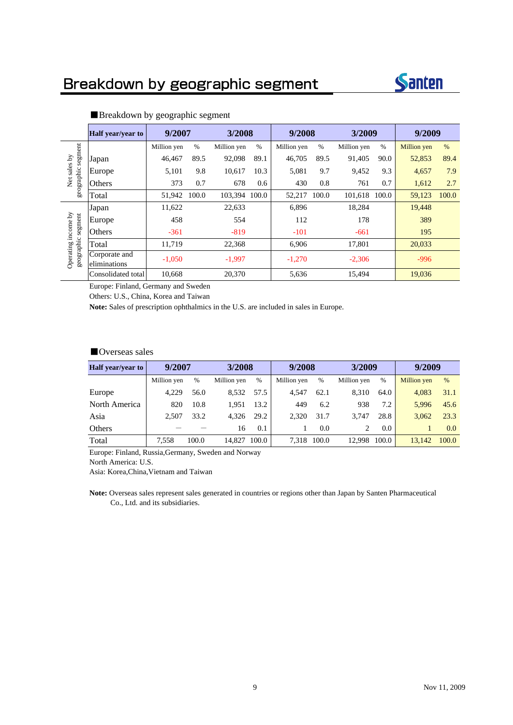### Breakdown by geographic segment



|                         | <b>Half</b> year/year to      | 9/2007      |       | 3/2008        |      | 9/2008      |       | 3/2009      |       | 9/2009      |       |
|-------------------------|-------------------------------|-------------|-------|---------------|------|-------------|-------|-------------|-------|-------------|-------|
|                         |                               | Million yen | %     | Million yen   | $\%$ | Million yen | %     | Million yen | $\%$  | Million yen | %     |
| segment                 | Japan                         | 46,467      | 89.5  | 92,098        | 89.1 | 46,705      | 89.5  | 91,405      | 90.0  | 52,853      | 89.4  |
| Net sales by            | Europe                        | 5,101       | 9.8   | 10,617        | 10.3 | 5,081       | 9.7   | 9,452       | 9.3   | 4,657       | 7.9   |
| geographic              | Others                        | 373         | 0.7   | 678           | 0.6  | 430         | 0.8   | 761         | 0.7   | 1,612       | 2.7   |
|                         | Total                         | 51.942      | 100.0 | 103,394 100.0 |      | 52,217      | 100.0 | 101,618     | 100.0 | 59,123      | 100.0 |
|                         | Japan                         | 11,622      |       | 22,633        |      | 6,896       |       | 18,284      |       | 19.448      |       |
| segment                 | Europe                        | 458         |       | 554           |      | 112         |       | 178         |       | 389         |       |
| income by               | Others                        | $-361$      |       | $-819$        |      | $-101$      |       | $-661$      |       | 195         |       |
|                         | Total                         | 11,719      |       | 22,368        |      | 6,906       |       | 17,801      |       | 20,033      |       |
| geographic<br>Operating | Corporate and<br>eliminations | $-1.050$    |       | $-1,997$      |      | $-1,270$    |       | $-2,306$    |       | $-996$      |       |
|                         | Consolidated total            | 10,668      |       | 20,370        |      | 5,636       |       | 15,494      |       | 19,036      |       |

### ■Breakdown by geographic segment

Europe: Finland, Germany and Sweden

Others: U.S., China, Korea and Taiwan

**Note:** Sales of prescription ophthalmics in the U.S. are included in sales in Europe.

### ■Overseas sales

| <b>Half</b> year/year to | 9/2007      |       | 3/2008      |       | 9/2008      |       | 3/2009      |               | 9/2009             |       |
|--------------------------|-------------|-------|-------------|-------|-------------|-------|-------------|---------------|--------------------|-------|
|                          | Million yen | $\%$  | Million yen | %     | Million yen | %     | Million yen | %             | <b>Million</b> yen | $\%$  |
| Europe                   | 4.229       | 56.0  | 8.532       | 57.5  | 4.547       | 62.1  | 8.310       | 64.0          | 4.083              | 31.1  |
| North America            | 820         | 10.8  | 1.951       | 13.2  | 449         | 6.2   | 938         | 7.2           | 5.996              | 45.6  |
| Asia                     | 2.507       | 33.2  | 4.326       | 29.2  | 2.320       | 31.7  | 3.747       | 28.8          | 3.062              | 23.3  |
| Others                   |             |       | 16          | 0.1   |             | 0.0   |             | $0.0^{\circ}$ |                    | 0.0   |
| Total                    | 7.558       | 100.0 | 14.827      | 100.0 | 7.318       | 100.0 | 12.998      | 100.0         | 13.142             | 100.0 |

Europe: Finland, Russia,Germany, Sweden and Norway

North America: U.S.

Asia: Korea,China,Vietnam and Taiwan

**Note:** Overseas sales represent sales generated in countries or regions other than Japan by Santen Pharmaceutical Co., Ltd. and its subsidiaries.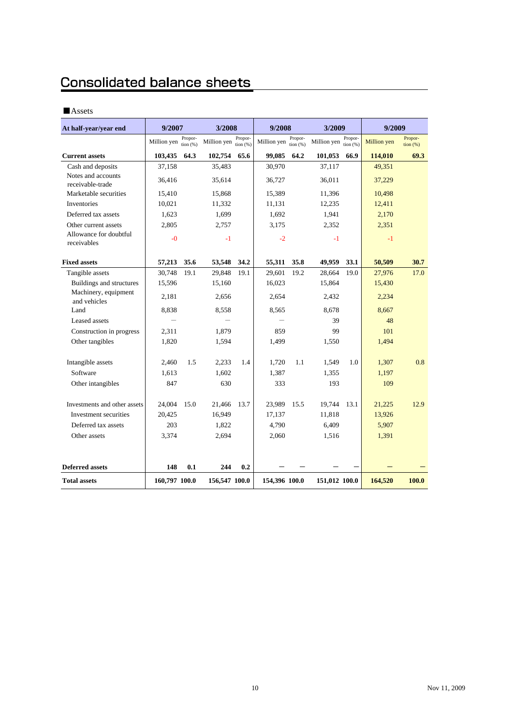### Consolidated balance sheets

### ■Assets

| At half-year/year end                  | 9/2007        |                     | 3/2008        |                       | 9/2008        |                        | 3/2009        |                       | 9/2009      |                              |
|----------------------------------------|---------------|---------------------|---------------|-----------------------|---------------|------------------------|---------------|-----------------------|-------------|------------------------------|
|                                        | Million yen   | Propor-<br>tion (%) | Million yen   | Propor-<br>tion $(%)$ | Million yen   | Propor-<br>tion $(% )$ | Million yen   | Propor-<br>tion $(%)$ | Million yen | Propor-<br>$\frac{1}{2}$ (%) |
| <b>Current assets</b>                  | 103,435       | 64.3                | 102,754       | 65.6                  | 99,085        | 64.2                   | 101,053       | 66.9                  | 114,010     | 69.3                         |
| Cash and deposits                      | 37,158        |                     | 35,483        |                       | 30,970        |                        | 37,117        |                       | 49,351      |                              |
| Notes and accounts<br>receivable-trade | 36,416        |                     | 35,614        |                       | 36,727        |                        | 36.011        |                       | 37,229      |                              |
| Marketable securities                  | 15,410        |                     | 15,868        |                       | 15.389        |                        | 11,396        |                       | 10,498      |                              |
| <b>Inventories</b>                     | 10,021        |                     | 11,332        |                       | 11,131        |                        | 12,235        |                       | 12,411      |                              |
| Deferred tax assets                    | 1,623         |                     | 1,699         |                       | 1,692         |                        | 1,941         |                       | 2,170       |                              |
| Other current assets                   | 2,805         |                     | 2,757         |                       | 3,175         |                        | 2,352         |                       | 2,351       |                              |
| Allowance for doubtful<br>receivables  | $-0$          |                     | $-1$          |                       | $-2$          |                        | $-1$          |                       | $-1$        |                              |
| <b>Fixed assets</b>                    | 57,213        | 35.6                | 53,548        | 34.2                  | 55,311        | 35.8                   | 49,959        | 33.1                  | 50,509      | 30.7                         |
| Tangible assets                        | 30,748        | 19.1                | 29,848        | 19.1                  | 29,601        | 19.2                   | 28,664        | 19.0                  | 27,976      | 17.0                         |
| Buildings and structures               | 15,596        |                     | 15,160        |                       | 16,023        |                        | 15,864        |                       | 15,430      |                              |
| Machinery, equipment<br>and vehicles   | 2,181         |                     | 2,656         |                       | 2,654         |                        | 2,432         |                       | 2,234       |                              |
| Land                                   | 8,838         |                     | 8.558         |                       | 8.565         |                        | 8.678         |                       | 8.667       |                              |
| Leased assets                          |               |                     |               |                       |               |                        | 39            |                       | 48          |                              |
| Construction in progress               | 2,311         |                     | 1,879         |                       | 859           |                        | 99            |                       | 101         |                              |
| Other tangibles                        | 1,820         |                     | 1,594         |                       | 1,499         |                        | 1,550         |                       | 1,494       |                              |
| Intangible assets                      | 2,460         | 1.5                 | 2,233         | 1.4                   | 1.720         | 1.1                    | 1,549         | 1.0                   | 1,307       | 0.8                          |
| Software                               | 1.613         |                     | 1,602         |                       | 1,387         |                        | 1,355         |                       | 1,197       |                              |
| Other intangibles                      | 847           |                     | 630           |                       | 333           |                        | 193           |                       | 109         |                              |
| Investments and other assets           | 24,004        | 15.0                | 21,466        | 13.7                  | 23,989        | 15.5                   | 19,744        | 13.1                  | 21,225      | 12.9                         |
| Investment securities                  | 20,425        |                     | 16,949        |                       | 17,137        |                        | 11,818        |                       | 13,926      |                              |
| Deferred tax assets                    | 203           |                     | 1,822         |                       | 4,790         |                        | 6,409         |                       | 5,907       |                              |
| Other assets                           | 3,374         |                     | 2,694         |                       | 2,060         |                        | 1,516         |                       | 1,391       |                              |
|                                        |               |                     |               |                       |               |                        |               |                       |             |                              |
| <b>Deferred assets</b>                 | 148           | 0.1                 | 244           | 0.2                   |               |                        |               |                       |             |                              |
| <b>Total assets</b>                    | 160,797 100.0 |                     | 156,547 100.0 |                       | 154,396 100.0 |                        | 151,012 100.0 |                       | 164,520     | 100.0                        |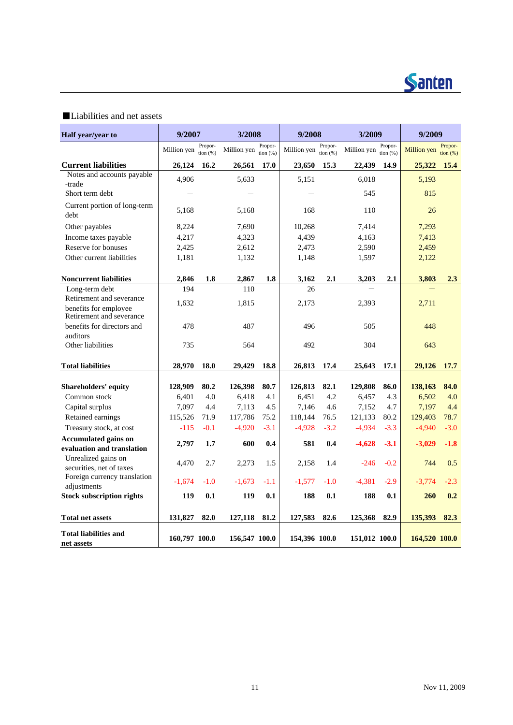

### ■Liabilities and net assets

| Half year/year to                                        | 9/2007         |                       | 3/2008         |                        | 9/2008         |                       | 3/2009         |                       | 9/2009         |                              |
|----------------------------------------------------------|----------------|-----------------------|----------------|------------------------|----------------|-----------------------|----------------|-----------------------|----------------|------------------------------|
|                                                          | Million yen    | Propor-<br>tion $(%)$ | Million yen    | Propor-<br>tion $(% )$ | Million yen    | Propor-<br>tion $(%)$ | Million yen    | Propor-<br>tion $(%)$ | Million yen    | Propor-<br>$\frac{1}{2}$ (%) |
| <b>Current liabilities</b>                               | 26,124         | 16.2                  | 26,561         | 17.0                   | 23,650         | 15.3                  | 22,439         | 14.9                  | 25,322 15.4    |                              |
| Notes and accounts payable                               | 4,906          |                       | 5,633          |                        | 5,151          |                       | 6,018          |                       | 5,193          |                              |
| -trade                                                   |                |                       |                |                        |                |                       |                |                       |                |                              |
| Short term debt                                          |                |                       |                |                        |                |                       | 545            |                       | 815            |                              |
| Current portion of long-term                             | 5,168          |                       | 5,168          |                        | 168            |                       | 110            |                       | 26             |                              |
| debt                                                     |                |                       |                |                        |                |                       |                |                       |                |                              |
| Other payables                                           | 8,224          |                       | 7,690          |                        | 10,268         |                       | 7,414          |                       | 7,293          |                              |
| Income taxes payable<br>Reserve for bonuses              | 4,217          |                       | 4,323          |                        | 4,439          |                       | 4,163          |                       | 7,413          |                              |
| Other current liabilities                                | 2,425<br>1,181 |                       | 2,612<br>1,132 |                        | 2,473<br>1,148 |                       | 2,590<br>1,597 |                       | 2,459<br>2,122 |                              |
|                                                          |                |                       |                |                        |                |                       |                |                       |                |                              |
| <b>Noncurrent liabilities</b>                            | 2,846          | 1.8                   | 2,867          | 1.8                    | 3,162          | 2.1                   | 3,203          | 2.1                   | 3,803          | 2.3                          |
| Long-term debt                                           | 194            |                       | 110            |                        | 26             |                       |                |                       |                |                              |
| Retirement and severance                                 | 1,632          |                       | 1,815          |                        | 2,173          |                       | 2,393          |                       | 2,711          |                              |
| benefits for employee<br>Retirement and severance        |                |                       |                |                        |                |                       |                |                       |                |                              |
| benefits for directors and                               | 478            |                       | 487            |                        | 496            |                       | 505            |                       | 448            |                              |
| auditors                                                 |                |                       |                |                        |                |                       |                |                       |                |                              |
| Other liabilities                                        | 735            |                       | 564            |                        | 492            |                       | 304            |                       | 643            |                              |
| <b>Total liabilities</b>                                 | 28,970         | 18.0                  | 29,429         | 18.8                   | 26,813         | 17.4                  | 25,643         | 17.1                  | 29,126         | 17.7                         |
| <b>Shareholders' equity</b>                              | 128,909        | 80.2                  | 126,398        | 80.7                   | 126,813        | 82.1                  | 129,808        | 86.0                  | 138,163        | 84.0                         |
| Common stock                                             | 6,401          | 4.0                   | 6,418          | 4.1                    | 6,451          | 4.2                   | 6,457          | 4.3                   | 6,502          | 4.0                          |
| Capital surplus                                          | 7,097          | 4.4                   | 7,113          | 4.5                    | 7,146          | 4.6                   | 7,152          | 4.7                   | 7,197          | 4.4                          |
| Retained earnings                                        | 115,526        | 71.9                  | 117,786        | 75.2                   | 118,144        | 76.5                  | 121,133        | 80.2                  | 129,403        | 78.7                         |
| Treasury stock, at cost                                  | $-115$         | $-0.1$                | $-4,920$       | $-3.1$                 | $-4,928$       | $-3.2$                | $-4,934$       | $-3.3$                | $-4,940$       | $-3.0$                       |
| <b>Accumulated gains on</b>                              | 2,797          | 1.7                   | 600            | 0.4                    | 581            | 0.4                   | $-4,628$       | $-3.1$                | $-3,029$       | $-1.8$                       |
| evaluation and translation                               |                |                       |                |                        |                |                       |                |                       |                |                              |
| Unrealized gains on                                      | 4,470          | 2.7                   | 2,273          | 1.5                    | 2,158          | 1.4                   | $-246$         | $-0.2$                | 744            | 0.5                          |
| securities, net of taxes<br>Foreign currency translation |                |                       |                |                        |                |                       |                |                       |                |                              |
| adjustments                                              | $-1,674$       | $-1.0$                | $-1,673$       | $-1.1$                 | $-1,577$       | $-1.0$                | $-4,381$       | $-2.9$                | $-3,774$       | $-2.3$                       |
| <b>Stock subscription rights</b>                         | 119            | 0.1                   | 119            | 0.1                    | 188            | 0.1                   | 188            | 0.1                   | 260            | 0.2                          |
|                                                          |                |                       |                |                        |                |                       |                |                       |                |                              |
| <b>Total net assets</b>                                  | 131,827        | 82.0                  | 127,118        | 81.2                   | 127,583        | 82.6                  | 125,368        | 82.9                  | 135,393        | 82.3                         |
| <b>Total liabilities and</b><br>net assets               | 160,797 100.0  |                       | 156,547 100.0  |                        | 154,396 100.0  |                       | 151,012 100.0  |                       | 164,520 100.0  |                              |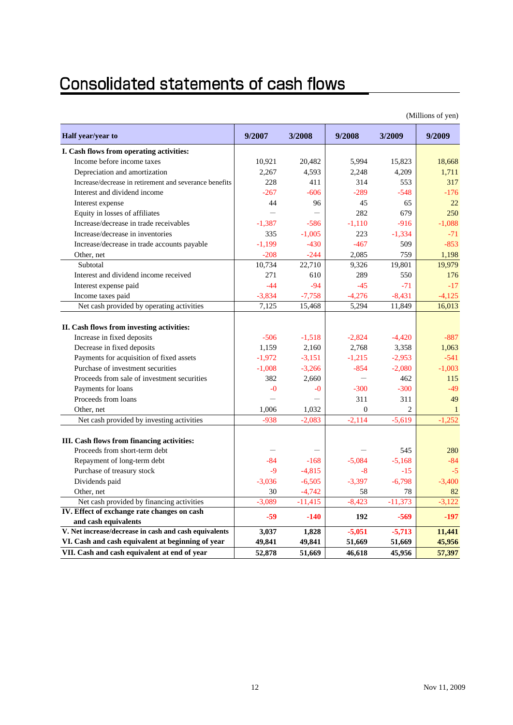## **Consolidated statements of cash flows**

|                                                                             |          |           |                |                | (Millions of yen) |
|-----------------------------------------------------------------------------|----------|-----------|----------------|----------------|-------------------|
| Half year/year to                                                           | 9/2007   | 3/2008    | 9/2008         | 3/2009         | 9/2009            |
| I. Cash flows from operating activities:                                    |          |           |                |                |                   |
| Income before income taxes                                                  | 10,921   | 20,482    | 5,994          | 15,823         | 18,668            |
| Depreciation and amortization                                               | 2,267    | 4,593     | 2,248          | 4,209          | 1,711             |
| Increase/decrease in retirement and severance benefits                      | 228      | 411       | 314            | 553            | 317               |
| Interest and dividend income                                                | $-267$   | $-606$    | $-289$         | $-548$         | $-176$            |
| Interest expense                                                            | 44       | 96        | 45             | 65             | 22                |
| Equity in losses of affiliates                                              |          |           | 282            | 679            | 250               |
| Increase/decrease in trade receivables                                      | $-1,387$ | $-586$    | $-1,110$       | $-916$         | $-1,088$          |
| Increase/decrease in inventories                                            | 335      | $-1,005$  | 223            | $-1,334$       | $-71$             |
| Increase/decrease in trade accounts payable                                 | $-1,199$ | $-430$    | $-467$         | 509            | $-853$            |
| Other, net                                                                  | $-208$   | $-244$    | 2,085          | 759            | 1.198             |
| Subtotal                                                                    | 10,734   | 22,710    | 9,326          | 19,801         | 19,979            |
| Interest and dividend income received                                       | 271      | 610       | 289            | 550            | 176               |
| Interest expense paid                                                       | $-44$    | $-94$     | $-45$          | $-71$          | $-17$             |
| Income taxes paid                                                           | $-3,834$ | $-7,758$  | $-4,276$       | $-8,431$       | $-4.125$          |
| Net cash provided by operating activities                                   | 7,125    | 15,468    | 5,294          | 11,849         | 16,013            |
| II. Cash flows from investing activities:                                   |          |           |                |                |                   |
| Increase in fixed deposits                                                  | $-506$   | $-1,518$  | $-2,824$       | $-4,420$       | $-887$            |
| Decrease in fixed deposits                                                  | 1.159    | 2,160     | 2,768          | 3,358          | 1,063             |
| Payments for acquisition of fixed assets                                    | $-1,972$ | $-3,151$  | $-1,215$       | $-2,953$       | $-541$            |
| Purchase of investment securities                                           | $-1,008$ | $-3,266$  | $-854$         | $-2,080$       | $-1,003$          |
| Proceeds from sale of investment securities                                 | 382      | 2,660     |                | 462            | 115               |
| Payments for loans                                                          | $-0$     | $-0$      | $-300$         | $-300$         | $-49$             |
| Proceeds from loans                                                         |          |           | 311            | 311            | 49                |
| Other, net                                                                  | 1,006    | 1,032     | $\overline{0}$ | $\overline{2}$ | $\mathbf{1}$      |
| Net cash provided by investing activities                                   | $-938$   | $-2,083$  | $-2,114$       | $-5,619$       | $-1,252$          |
| III. Cash flows from financing activities:<br>Proceeds from short-term debt |          |           |                | 545            | 280               |
| Repayment of long-term debt                                                 | $-84$    | $-168$    | $-5,084$       | $-5,168$       | $-84$             |
| Purchase of treasury stock                                                  | $-9$     | $-4,815$  | $-8$           | $-15$          | $-5$              |
| Dividends paid                                                              | $-3,036$ | $-6,505$  | $-3,397$       | $-6,798$       | $-3,400$          |
| Other, net                                                                  | 30       | $-4,742$  | 58             | 78             | 82                |
| Net cash provided by financing activities                                   | $-3,089$ | $-11,415$ | $-8,423$       | $-11,373$      | $-3,122$          |
| IV. Effect of exchange rate changes on cash                                 |          |           |                |                |                   |
| and cash equivalents                                                        | $-59$    | $-140$    | 192            | $-569$         | $-197$            |
| V. Net increase/decrease in cash and cash equivalents                       | 3,037    | 1,828     | $-5,051$       | $-5,713$       | 11,441            |
| VI. Cash and cash equivalent at beginning of year                           | 49,841   | 49,841    | 51,669         | 51,669         | 45,956            |
| VII. Cash and cash equivalent at end of year                                | 52,878   | 51,669    | 46,618         | 45,956         | 57,397            |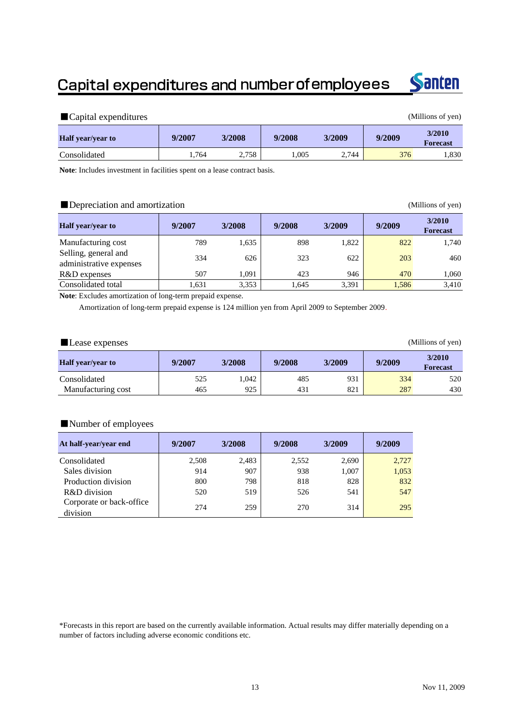### Capital expenditures and number of employees



| Capital expenditures     |        |        |        |        |        | (Millions of yen)         |
|--------------------------|--------|--------|--------|--------|--------|---------------------------|
| <b>Half</b> year/year to | 9/2007 | 3/2008 | 9/2008 | 3/2009 | 9/2009 | 3/2010<br><b>Forecast</b> |
| Consolidated             | .764   | 2.758  | 1.005  | 2.744  | 376    | 1,830                     |

**Note**: Includes investment in facilities spent on a lease contract basis.

### ■Depreciation and amortization (Millions of yen)

| <b>Half</b> year/year to                        | 9/2007 | 3/2008 | 9/2008 | 3/2009 | 9/2009 | 3/2010<br><b>Forecast</b> |
|-------------------------------------------------|--------|--------|--------|--------|--------|---------------------------|
| Manufacturing cost                              | 789    | 1.635  | 898    | 1,822  | 822    | 1,740                     |
| Selling, general and<br>administrative expenses | 334    | 626    | 323    | 622    | 203    | 460                       |
| R&D expenses                                    | 507    | 1.091  | 423    | 946    | 470    | 1,060                     |
| Consolidated total                              | .631   | 3,353  | 1.645  | 3,391  | 1,586  | 3,410                     |

**Note**: Excludes amortization of long-term prepaid expense.

Amortization of long-term prepaid expense is 124 million yen from April 2009 to September 2009.

| Lease expenses           |        |        |        |        |        | (Millions of yen)         |
|--------------------------|--------|--------|--------|--------|--------|---------------------------|
| <b>Half</b> year/year to | 9/2007 | 3/2008 | 9/2008 | 3/2009 | 9/2009 | 3/2010<br><b>Forecast</b> |
| Consolidated             | 525    | 1,042  | 485    | 931    | 334    | 520                       |
| Manufacturing cost       | 465    | 925    | 431    | 821    | 287    | 430                       |

### ■Number of employees

| At half-year/year end                | 9/2007 | 3/2008 | 9/2008 | 3/2009 | 9/2009 |
|--------------------------------------|--------|--------|--------|--------|--------|
| Consolidated                         | 2,508  | 2,483  | 2,552  | 2,690  | 2,727  |
| Sales division                       | 914    | 907    | 938    | 1,007  | 1,053  |
| Production division                  | 800    | 798    | 818    | 828    | 832    |
| R&D division                         | 520    | 519    | 526    | 541    | 547    |
| Corporate or back-office<br>division | 274    | 259    | 270    | 314    | 295    |

\*Forecasts in this report are based on the currently available information. Actual results may differ materially depending on a number of factors including adverse economic conditions etc.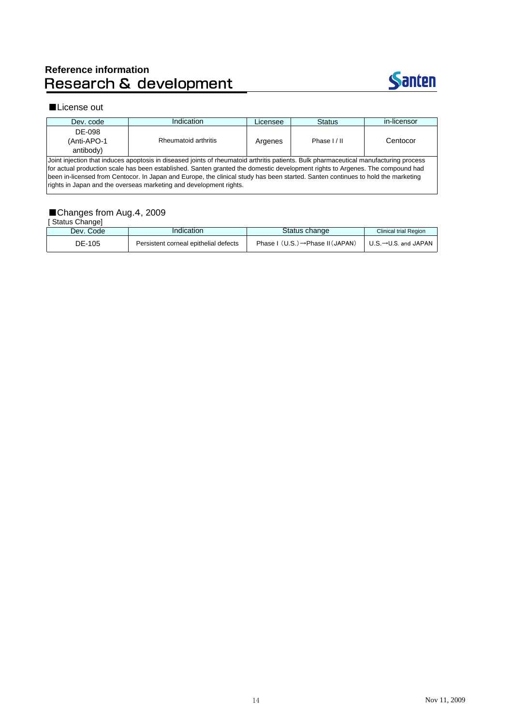# Reference information<br>Research & development

rights in Japan and the overseas marketing and development rights.



#### ■License out

| Dev. code                                                                                                                        | Indication                                                                                                                            | Licensee | <b>Status</b> | in-licensor |  |  |  |  |
|----------------------------------------------------------------------------------------------------------------------------------|---------------------------------------------------------------------------------------------------------------------------------------|----------|---------------|-------------|--|--|--|--|
| DE-098                                                                                                                           |                                                                                                                                       |          |               |             |  |  |  |  |
| (Anti-APO-1                                                                                                                      | Rheumatoid arthritis                                                                                                                  | Argenes  | Phase I/II    | Centocor    |  |  |  |  |
| antibody)                                                                                                                        |                                                                                                                                       |          |               |             |  |  |  |  |
|                                                                                                                                  | Joint injection that induces apoptosis in diseased joints of rheumatoid arthritis patients. Bulk pharmaceutical manufacturing process |          |               |             |  |  |  |  |
| for actual production scale has been established. Santen granted the domestic development rights to Argenes. The compound had    |                                                                                                                                       |          |               |             |  |  |  |  |
| been in-licensed from Centocor. In Japan and Europe, the clinical study has been started. Santen continues to hold the marketing |                                                                                                                                       |          |               |             |  |  |  |  |

### ■Changes from Aug.4, 2009

| Status Change] |                                       |                                             |                              |
|----------------|---------------------------------------|---------------------------------------------|------------------------------|
| Dev. Code      | Indication                            | Status change                               | <b>Clinical trial Region</b> |
| DE-105         | Persistent corneal epithelial defects | Phase $I(U.S.) \rightarrow Phase II(JAPAN)$ | ∪.S. $→$ U.S. and JAPAN      |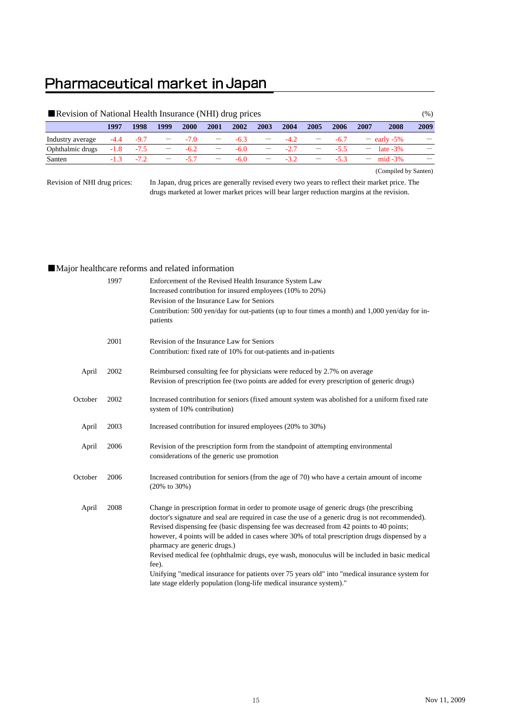### Pharmaceutical market in Japan

| Revision of National Health Insurance (NHI) drug prices |        |        |                          |        |                          |        |                          |        |      |        |      | $(\%)$               |      |
|---------------------------------------------------------|--------|--------|--------------------------|--------|--------------------------|--------|--------------------------|--------|------|--------|------|----------------------|------|
|                                                         | 1997   | 1998   | 1999                     | 2000   | 2001                     | 2002   | 2003                     | 2004   | 2005 | 2006   | 2007 | 2008                 | 2009 |
| Industry average                                        | $-4.4$ | $-9.7$ | $\overline{\phantom{0}}$ | $-7.0$ | $\overline{\phantom{0}}$ | $-6.3$ |                          | $-4.2$ |      | $-6.7$ |      | $-$ early -5%        |      |
| Ophthalmic drugs                                        | $-1.8$ | $-7.5$ | $\overline{\phantom{m}}$ | $-6.2$ | $\overline{\phantom{m}}$ | $-6.0$ | $\overline{\phantom{m}}$ | $-2.7$ | $ -$ | $-5.5$ |      | $-$ late $-3\%$      |      |
| Santen                                                  | $-1.3$ | $-72$  |                          | $-5.7$ | $\overline{\phantom{m}}$ | $-6.0$ | $\overline{\phantom{m}}$ | $-3.2$ | $ -$ | $-53$  |      | $- \text{mid } -3\%$ |      |
| (Compiled by Santen)                                    |        |        |                          |        |                          |        |                          |        |      |        |      |                      |      |

Revision of NHI drug prices:

In Japan, drug prices are generally revised every two years to reflect their market price. The drugs marketed at lower market prices will bear larger reduction margins at the revision.

### ■Major healthcare reforms and related information

|         | 1997 | Enforcement of the Revised Health Insurance System Law<br>Increased contribution for insured employees (10% to 20%)<br>Revision of the Insurance Law for Seniors<br>Contribution: 500 yen/day for out-patients (up to four times a month) and 1,000 yen/day for in-<br>patients                                                                                                                                                                                                                                                                                                                                                                                                                             |
|---------|------|-------------------------------------------------------------------------------------------------------------------------------------------------------------------------------------------------------------------------------------------------------------------------------------------------------------------------------------------------------------------------------------------------------------------------------------------------------------------------------------------------------------------------------------------------------------------------------------------------------------------------------------------------------------------------------------------------------------|
|         | 2001 | Revision of the Insurance Law for Seniors<br>Contribution: fixed rate of 10% for out-patients and in-patients                                                                                                                                                                                                                                                                                                                                                                                                                                                                                                                                                                                               |
| April   | 2002 | Reimbursed consulting fee for physicians were reduced by 2.7% on average<br>Revision of prescription fee (two points are added for every prescription of generic drugs)                                                                                                                                                                                                                                                                                                                                                                                                                                                                                                                                     |
| October | 2002 | Increased contribution for seniors (fixed amount system was abolished for a uniform fixed rate<br>system of 10% contribution)                                                                                                                                                                                                                                                                                                                                                                                                                                                                                                                                                                               |
| April   | 2003 | Increased contribution for insured employees (20% to 30%)                                                                                                                                                                                                                                                                                                                                                                                                                                                                                                                                                                                                                                                   |
| April   | 2006 | Revision of the prescription form from the standpoint of attempting environmental<br>considerations of the generic use promotion                                                                                                                                                                                                                                                                                                                                                                                                                                                                                                                                                                            |
| October | 2006 | Increased contribution for seniors (from the age of 70) who have a certain amount of income<br>$(20\% \text{ to } 30\%)$                                                                                                                                                                                                                                                                                                                                                                                                                                                                                                                                                                                    |
| April   | 2008 | Change in prescription format in order to promote usage of generic drugs (the prescribing<br>doctor's signature and seal are required in case the use of a generic drug is not recommended).<br>Revised dispensing fee (basic dispensing fee was decreased from 42 points to 40 points;<br>however, 4 points will be added in cases where 30% of total prescription drugs dispensed by a<br>pharmacy are generic drugs.)<br>Revised medical fee (ophthalmic drugs, eye wash, monoculus will be included in basic medical<br>fee).<br>Unifying "medical insurance for patients over 75 years old" into "medical insurance system for<br>late stage elderly population (long-life medical insurance system)." |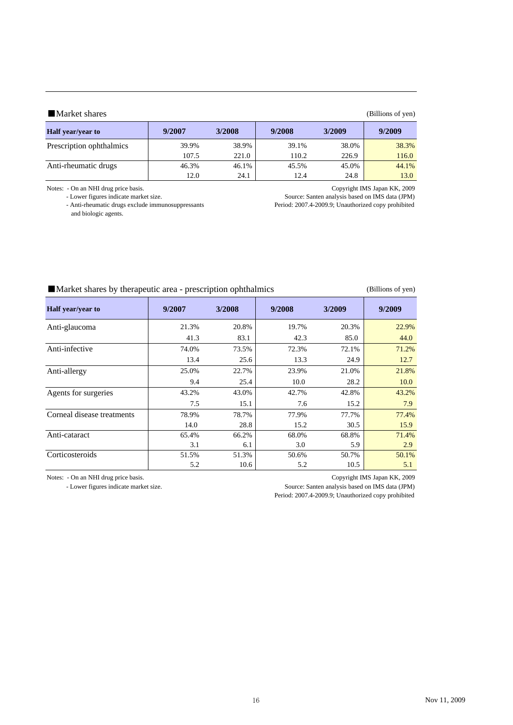| ■ Market shares<br>(Billions of yen) |        |        |        |        |        |  |  |  |  |  |
|--------------------------------------|--------|--------|--------|--------|--------|--|--|--|--|--|
| <b>Half</b> year/year to             | 9/2007 | 3/2008 | 9/2008 | 3/2009 | 9/2009 |  |  |  |  |  |
| Prescription ophthalmics             | 39.9%  | 38.9%  | 39.1%  | 38.0%  | 38.3%  |  |  |  |  |  |
|                                      | 107.5  | 221.0  | 110.2  | 226.9  | 116.0  |  |  |  |  |  |
| Anti-rheumatic drugs                 | 46.3%  | 46.1%  | 45.5%  | 45.0%  | 44.1%  |  |  |  |  |  |
|                                      | 12.0   | 24.1   | 12.4   | 24.8   | 13.0   |  |  |  |  |  |

Notes: - On an NHI drug price basis. Copyright IMS Japan KK, 2009

- Anti-rheumatic drugs exclude immunosuppressants and biologic agents.

Source: Santen analysis based on IMS data (JPM)<br>Period: 2007.4-2009.9; Unauthorized copy prohibited

| Market shares by therapeutic area - prescription ophthalmics |  | (Billions of yen) |
|--------------------------------------------------------------|--|-------------------|
|                                                              |  |                   |

| Half year/year to          | 9/2007 | 3/2008 | 9/2008 | 3/2009 | 9/2009 |
|----------------------------|--------|--------|--------|--------|--------|
| Anti-glaucoma              | 21.3%  | 20.8%  | 19.7%  | 20.3%  | 22.9%  |
|                            | 41.3   | 83.1   | 42.3   | 85.0   | 44.0   |
| Anti-infective             | 74.0%  | 73.5%  | 72.3%  | 72.1%  | 71.2%  |
|                            | 13.4   | 25.6   | 13.3   | 24.9   | 12.7   |
| Anti-allergy               | 25.0%  | 22.7%  | 23.9%  | 21.0%  | 21.8%  |
|                            | 9.4    | 25.4   | 10.0   | 28.2   | 10.0   |
| Agents for surgeries       | 43.2%  | 43.0%  | 42.7%  | 42.8%  | 43.2%  |
|                            | 7.5    | 15.1   | 7.6    | 15.2   | 7.9    |
| Corneal disease treatments | 78.9%  | 78.7%  | 77.9%  | 77.7%  | 77.4%  |
|                            | 14.0   | 28.8   | 15.2   | 30.5   | 15.9   |
| Anti-cataract              | 65.4%  | 66.2%  | 68.0%  | 68.8%  | 71.4%  |
|                            | 3.1    | 6.1    | 3.0    | 5.9    | 2.9    |
| Corticosteroids            | 51.5%  | 51.3%  | 50.6%  | 50.7%  | 50.1%  |
|                            | 5.2    | 10.6   | 5.2    | 10.5   | 5.1    |

Notes: - On an NHI drug price basis.<br>
- Lower figures indicate market size.<br>
- Lower figures indicate market size.<br>
- Copyright IMS Japan KK, 2009 Source: Santen analysis based on IMS data (JPM)

Period: 2007.4-2009.9; Unauthorized copy prohibited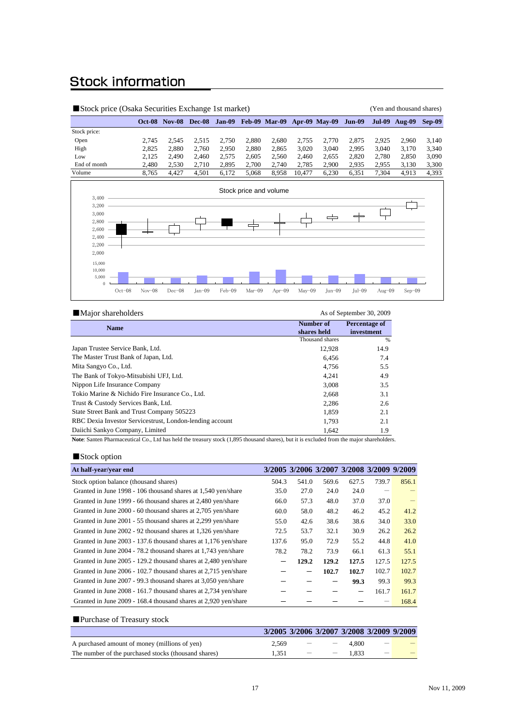### **Stock information**

| Stock price (Osaka Securities Exchange 1st market)                   |          |                             |          |        |          |                                    |          |                      |               | (Yen and thousand shares) |                      |          |
|----------------------------------------------------------------------|----------|-----------------------------|----------|--------|----------|------------------------------------|----------|----------------------|---------------|---------------------------|----------------------|----------|
|                                                                      |          | <b>Oct-08 Nov-08 Dec-08</b> |          |        |          | Jan-09 Feb-09 Mar-09 Apr-09 May-09 |          |                      | <b>Jun-09</b> |                           | <b>Jul-09 Aug-09</b> | $Sep-09$ |
| Stock price:                                                         |          |                             |          |        |          |                                    |          |                      |               |                           |                      |          |
| Open                                                                 | 2,745    | 2,545                       | 2,515    | 2,750  | 2,880    | 2,680                              | 2,755    | 2,770                | 2,875         | 2,925                     | 2,960                | 3,140    |
| High                                                                 | 2,825    | 2,880                       | 2,760    | 2,950  | 2,880    | 2,865                              | 3,020    | 3,040                | 2,995         | 3,040                     | 3,170                | 3,340    |
| Low                                                                  | 2,125    | 2,490                       | 2,460    | 2,575  | 2,605    | 2,560                              | 2,460    | 2,655                | 2,820         | 2,780                     | 2,850                | 3,090    |
| End of month                                                         | 2,480    | 2,530                       | 2,710    | 2,895  | 2,700    | 2,740                              | 2,785    | 2,900                | 2,935         | 2,955                     | 3,130                | 3,300    |
| Volume                                                               | 8,765    | 4,427                       | 4,501    | 6,172  | 5,068    | 8,958                              | 10,477   | 6,230                | 6,351         | 7,304                     | 4,913                | 4,393    |
| 3,400<br>3,200<br>3,000<br>2,800<br>2,600<br>2,400<br>2,200<br>2,000 |          |                             |          |        |          | Stock price and volume             |          | $\rightleftharpoons$ |               |                           |                      |          |
| 15,000<br>10,000<br>5,000<br>$\Omega$<br>$Oct-08$                    | $Nov-08$ | $Dec-08$                    | $Jan-09$ | Feb-09 | $Mar-09$ | Apr $-09$                          | $Mav-09$ | $Jun-09$             | $Iul-09$      | Aug $-09$                 | $Sep-09$             |          |

#### ■Major shareholders As of September 30, 2009

| <b>Name</b>                                              | Number of       | Percentage of |
|----------------------------------------------------------|-----------------|---------------|
|                                                          | shares held     | investment    |
|                                                          | Thousand shares | %             |
| Japan Trustee Service Bank, Ltd.                         | 12,928          | 14.9          |
| The Master Trust Bank of Japan, Ltd.                     | 6,456           | 7.4           |
| Mita Sangyo Co., Ltd.                                    | 4.756           | 5.5           |
| The Bank of Tokyo-Mitsubishi UFJ, Ltd.                   | 4.241           | 4.9           |
| Nippon Life Insurance Company                            | 3,008           | 3.5           |
| Tokio Marine & Nichido Fire Insurance Co., Ltd.          | 2,668           | 3.1           |
| Trust & Custody Services Bank, Ltd.                      | 2,286           | 2.6           |
| State Street Bank and Trust Company 505223               | 1,859           | 2.1           |
| RBC Dexia Investor Servicestrust, London-lending account | 1.793           | 2.1           |
| Daiichi Sankyo Company, Limited                          | 1.642           | 1.9           |

**Note**: Santen Pharmaceutical Co., Ltd has held the treasury stock (1,895 thousand shares), but it is excluded from the major shareholders.

### ■Stock option

| At half-year/year end                                           |       | 3/2005 3/2006 3/2007 3/2008 3/2009 9/2009 |       |                          |       |       |
|-----------------------------------------------------------------|-------|-------------------------------------------|-------|--------------------------|-------|-------|
| Stock option balance (thousand shares)                          | 504.3 | 541.0                                     | 569.6 | 627.5                    | 739.7 | 856.1 |
| Granted in June 1998 - 106 thousand shares at 1,540 yen/share   | 35.0  | 27.0                                      | 24.0  | 24.0                     |       |       |
| Granted in June 1999 - 66 thousand shares at 2,480 yen/share    | 66.0  | 57.3                                      | 48.0  | 37.0                     | 37.0  |       |
| Granted in June 2000 - 60 thousand shares at 2,705 yen/share    | 60.0  | 58.0                                      | 48.2  | 46.2                     | 45.2  | 41.2  |
| Granted in June 2001 - 55 thousand shares at 2,299 yen/share    | 55.0  | 42.6                                      | 38.6  | 38.6                     | 34.0  | 33.0  |
| Granted in June 2002 - 92 thousand shares at 1,326 yen/share    | 72.5  | 53.7                                      | 32.1  | 30.9                     | 26.2  | 26.2  |
| Granted in June 2003 - 137.6 thousand shares at 1,176 yen/share | 137.6 | 95.0                                      | 72.9  | 55.2                     | 44.8  | 41.0  |
| Granted in June 2004 - 78.2 thousand shares at 1,743 yen/share  | 78.2  | 78.2                                      | 73.9  | 66.1                     | 61.3  | 55.1  |
| Granted in June 2005 - 129.2 thousand shares at 2,480 yen/share |       | 129.2                                     | 129.2 | 127.5                    | 127.5 | 127.5 |
| Granted in June 2006 - 102.7 thousand shares at 2,715 yen/share |       | $\overline{\phantom{m}}$                  | 102.7 | 102.7                    | 102.7 | 102.7 |
| Granted in June 2007 - 99.3 thousand shares at 3,050 yen/share  |       |                                           |       | 99.3                     | 99.3  | 99.3  |
| Granted in June 2008 - 161.7 thousand shares at 2,734 yen/share |       |                                           |       | $\overline{\phantom{m}}$ | 161.7 | 161.7 |
| Granted in June 2009 - 168.4 thousand shares at 2,920 yen/share |       |                                           |       |                          |       | 168.4 |

| ■ Purchase of Treasury stock                         |                                           |  |       |  |
|------------------------------------------------------|-------------------------------------------|--|-------|--|
|                                                      | 3/2005 3/2006 3/2007 3/2008 3/2009 9/2009 |  |       |  |
| A purchased amount of money (millions of yen)        | 2.569                                     |  | 4.800 |  |
| The number of the purchased stocks (thousand shares) | 1.351                                     |  | 1.833 |  |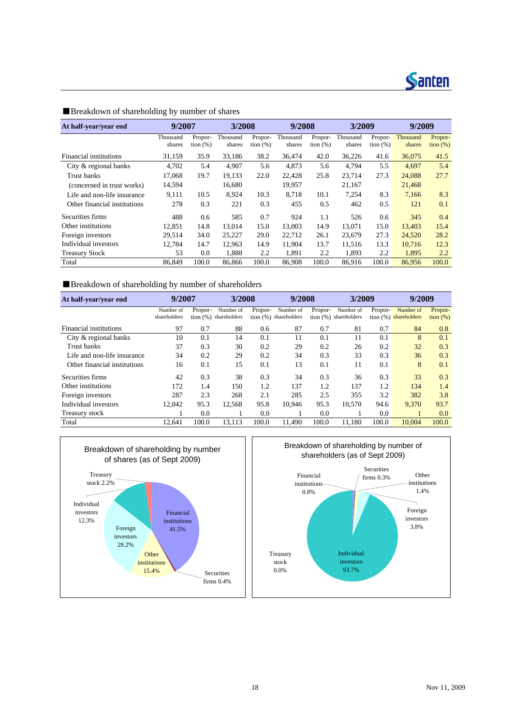

| At half-year/year end        | 9/2007             |                        | 3/2008             |                        | 9/2008             |                        | 3/2009             |                        | 9/2009             |                     |
|------------------------------|--------------------|------------------------|--------------------|------------------------|--------------------|------------------------|--------------------|------------------------|--------------------|---------------------|
|                              | Thousand<br>shares | Propor-<br>tion $(\%)$ | Thousand<br>shares | Propor-<br>tion $(\%)$ | Thousand<br>shares | Propor-<br>tion $(\%)$ | Thousand<br>shares | Propor-<br>tion $(\%)$ | Thousand<br>shares | Propor-<br>tion (%) |
| Financial institutions       | 31,159             | 35.9                   | 33,186             | 38.2                   | 36,474             | 42.0                   | 36,226             | 41.6                   | 36,075             | 41.5                |
| City & regional banks        | 4,702              | 5.4                    | 4,907              | 5.6                    | 4,873              | 5.6                    | 4.794              | 5.5                    | 4,697              | 5.4                 |
| Trust banks                  | 17.068             | 19.7                   | 19.133             | 22.0                   | 22.428             | 25.8                   | 23.714             | 27.3                   | 24.088             | 27.7                |
| (concerned in trust works)   | 14,594             |                        | 16,680             |                        | 19,957             |                        | 21,167             |                        | 21,468             |                     |
| Life and non-life insurance  | 9,111              | 10.5                   | 8,924              | 10.3                   | 8.718              | 10.1                   | 7,254              | 8.3                    | 7.166              | 8.3                 |
| Other financial institutions | 278                | 0.3                    | 221                | 0.3                    | 455                | 0.5                    | 462                | 0.5                    | 121                | 0.1                 |
| Securities firms             | 488                | 0.6                    | 585                | 0.7                    | 924                | 1.1                    | 526                | 0.6                    | 345                | 0.4                 |
| Other institutions           | 12.851             | 14.8                   | 13.014             | 15.0                   | 13.003             | 14.9                   | 13.071             | 15.0                   | 13,403             | 15.4                |
| Foreign investors            | 29,514             | 34.0                   | 25,227             | 29.0                   | 22,712             | 26.1                   | 23,679             | 27.3                   | 24,520             | 28.2                |
| Individual investors         | 12,784             | 14.7                   | 12,963             | 14.9                   | 11,904             | 13.7                   | 11,516             | 13.3                   | 10.716             | 12.3                |
| <b>Treasury Stock</b>        | 53                 | 0.0                    | 1,888              | 2.2                    | 1.891              | 2.2                    | 1,893              | 2.2                    | 1,895              | 2.2                 |
| Total                        | 86.849             | 100.0                  | 86,866             | 100.0                  | 86,908             | 100.0                  | 86,916             | 100.0                  | 86,956             | 100.0               |

### ■Breakdown of shareholding by number of shares

■Breakdown of shareholding by number of shareholders

| At half-year/year end        | 9/2007       |         | 3/2008                  |         | 9/2008                |         | 3/2009                  |         | 9/2009                  |             |
|------------------------------|--------------|---------|-------------------------|---------|-----------------------|---------|-------------------------|---------|-------------------------|-------------|
|                              | Number of    | Propor- | Number of               | Propor- | Number of             | Propor- | Number of               | Propor- | Number of               | Propor-     |
|                              | shareholders |         | tion $(%)$ shareholders |         | tion (%) shareholders |         | tion $(%)$ shareholders |         | tion $(%)$ shareholders | tion $(\%)$ |
| Financial institutions       | 97           | 0.7     | 88                      | 0.6     | 87                    | 0.7     | 81                      | 0.7     | 84                      | 0.8         |
| City & regional banks        | 10           | 0.1     | 14                      | 0.1     | 11                    | 0.1     | 11                      | 0.1     | 8                       | 0.1         |
| Trust banks                  | 37           | 0.3     | 30                      | 0.2     | 29                    | 0.2     | 26                      | 0.2     | 32                      | 0.3         |
| Life and non-life insurance  | 34           | 0.2     | 29                      | 0.2     | 34                    | 0.3     | 33                      | 0.3     | 36                      | 0.3         |
| Other financial institutions | 16           | 0.1     | 15                      | 0.1     | 13                    | 0.1     | 11                      | 0.1     | 8                       | 0.1         |
| Securities firms             | 42           | 0.3     | 38                      | 0.3     | 34                    | 0.3     | 36                      | 0.3     | 33                      | 0.3         |
| Other institutions           | 172          | 1.4     | 150                     | 1.2     | 137                   | 1.2     | 137                     | 1.2     | 134                     | 1.4         |
| Foreign investors            | 287          | 2.3     | 268                     | 2.1     | 285                   | 2.5     | 355                     | 3.2     | 382                     | 3.8         |
| Individual investors         | 12.042       | 95.3    | 12,568                  | 95.8    | 10.946                | 95.3    | 10.570                  | 94.6    | 9.370                   | 93.7        |
| Treasury stock               |              | 0.0     |                         | 0.0     |                       | 0.0     |                         | 0.0     |                         | 0.0         |
| Total                        | 12.641       | 100.0   | 13.113                  | 100.0   | 11.490                | 100.0   | 11.180                  | 100.0   | 10.004                  | 100.0       |



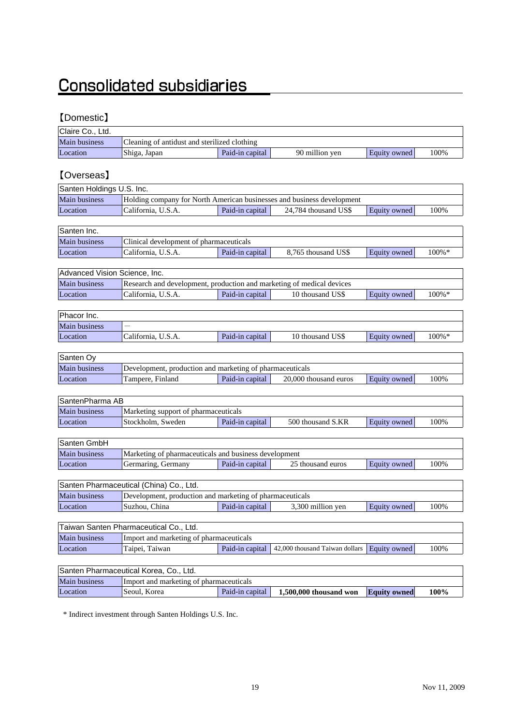## **Consolidated subsidiaries**

### 【Domestic】

| Claire Co., Ltd. |                                              |                 |                |              |      |
|------------------|----------------------------------------------|-----------------|----------------|--------------|------|
| Main business    | Cleaning of antidust and sterilized clothing |                 |                |              |      |
| Location         | Shiga, Japan                                 | Paid-in capital | 90 million ven | Equity owned | 100% |

### 【Overseas】

| Santen Holdings U.S. Inc. |                                                                        |                 |                      |              |      |  |
|---------------------------|------------------------------------------------------------------------|-----------------|----------------------|--------------|------|--|
| Main business             | Holding company for North American businesses and business development |                 |                      |              |      |  |
| Location                  | California, U.S.A.                                                     | Paid-in capital | 24,784 thousand US\$ | Equity owned | 100% |  |
|                           |                                                                        |                 |                      |              |      |  |

| Santen Inc.          |                                         |                 |                     |              |           |
|----------------------|-----------------------------------------|-----------------|---------------------|--------------|-----------|
| <b>Main business</b> | Clinical development of pharmaceuticals |                 |                     |              |           |
| Location             | California, U.S.A.                      | Paid-in capital | 8.765 thousand US\$ | Equity owned | $100\% *$ |

|               | Advanced Vision Science, Inc.                                         |                 |                  |              |           |  |  |
|---------------|-----------------------------------------------------------------------|-----------------|------------------|--------------|-----------|--|--|
| Main business | Research and development, production and marketing of medical devices |                 |                  |              |           |  |  |
| Location      | California, U.S.A.                                                    | Paid-in capital | 10 thousand US\$ | Equity owned | $100\%$ * |  |  |

| Phacor Inc.   |                    |                 |                  |              |           |
|---------------|--------------------|-----------------|------------------|--------------|-----------|
| Main business |                    |                 |                  |              |           |
| Location      | California, U.S.A. | Paid-in capital | 10 thousand US\$ | Equity owned | $100\% *$ |
|               |                    |                 |                  |              |           |

| Santen Oy            |                                                          |                 |                       |              |      |
|----------------------|----------------------------------------------------------|-----------------|-----------------------|--------------|------|
| <b>Main business</b> | Development, production and marketing of pharmaceuticals |                 |                       |              |      |
| Location             | Tampere. Finland                                         | Paid-in capital | 20,000 thousand euros | Equity owned | 100% |

| SantenPharma AB      |                                      |                 |                   |              |      |
|----------------------|--------------------------------------|-----------------|-------------------|--------------|------|
| <b>Main business</b> | Marketing support of pharmaceuticals |                 |                   |              |      |
| Location             | Stockholm. Sweden                    | Paid-in capital | 500 thousand S.KR | Equity owned | 100% |

| Santen GmbH          |                                                       |                 |                   |              |      |
|----------------------|-------------------------------------------------------|-----------------|-------------------|--------------|------|
| <b>Main business</b> | Marketing of pharmaceuticals and business development |                 |                   |              |      |
| Location             | Germaring, Germany                                    | Paid-in capital | 25 thousand euros | Equity owned | 100% |

| Santen Pharmaceutical (China) Co., Ltd. |                                                          |                 |                   |              |      |
|-----------------------------------------|----------------------------------------------------------|-----------------|-------------------|--------------|------|
| <b>Main business</b>                    | Development, production and marketing of pharmaceuticals |                 |                   |              |      |
| Location                                | Suzhou. China                                            | Paid-in capital | 3.300 million yen | Equity owned | 100% |

| Taiwan Santen Pharmaceutical Co., Ltd. |                                         |  |                                                                        |  |      |  |
|----------------------------------------|-----------------------------------------|--|------------------------------------------------------------------------|--|------|--|
| <b>Main business</b>                   | Import and marketing of pharmaceuticals |  |                                                                        |  |      |  |
| Location                               | Taipei, Taiwan                          |  | <b>Paid-in capital</b>   42,000 thousand Taiwan dollars   Equity owned |  | 100% |  |

| Santen Pharmaceutical Korea, Co., Ltd. |                                         |                 |                          |                     |      |  |
|----------------------------------------|-----------------------------------------|-----------------|--------------------------|---------------------|------|--|
| <b>Main business</b>                   | Import and marketing of pharmaceuticals |                 |                          |                     |      |  |
| Location                               | Seoul. Korea                            | Paid-in capital | $1,500,000$ thousand won | <b>Equity owned</b> | 100% |  |

\* Indirect investment through Santen Holdings U.S. Inc.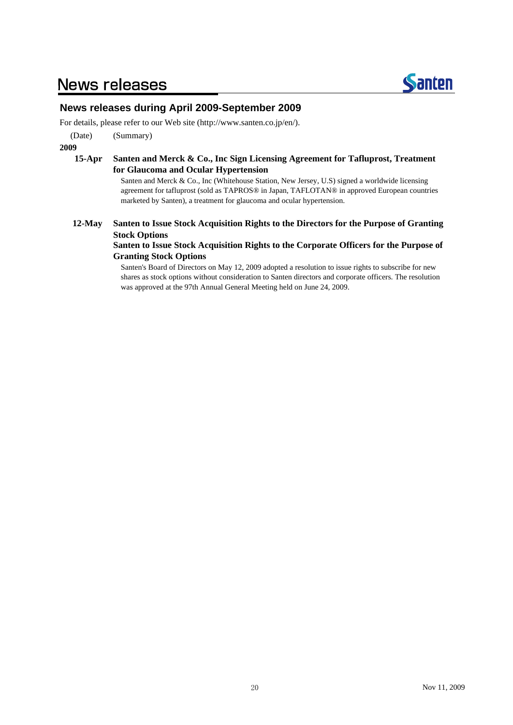### **News releases**



### **News releases during April 2009-September 2009**

For details, please refer to our Web site (http://www.santen.co.jp/en/).

(Date) (Summary)

**2009**

#### **15-Apr Santen and Merck & Co., Inc Sign Licensing Agreement for Tafluprost, Treatment for Glaucoma and Ocular Hypertension**

Santen and Merck & Co., Inc (Whitehouse Station, New Jersey, U.S) signed a worldwide licensing agreement for tafluprost (sold as TAPROS® in Japan, TAFLOTAN® in approved European countries marketed by Santen), a treatment for glaucoma and ocular hypertension.

#### **12-May Santen to Issue Stock Acquisition Rights to the Directors for the Purpose of Granting Stock Options**

### **Santen to Issue Stock Acquisition Rights to the Corporate Officers for the Purpose of Granting Stock Options**

Santen's Board of Directors on May 12, 2009 adopted a resolution to issue rights to subscribe for new shares as stock options without consideration to Santen directors and corporate officers. The resolution was approved at the 97th Annual General Meeting held on June 24, 2009.